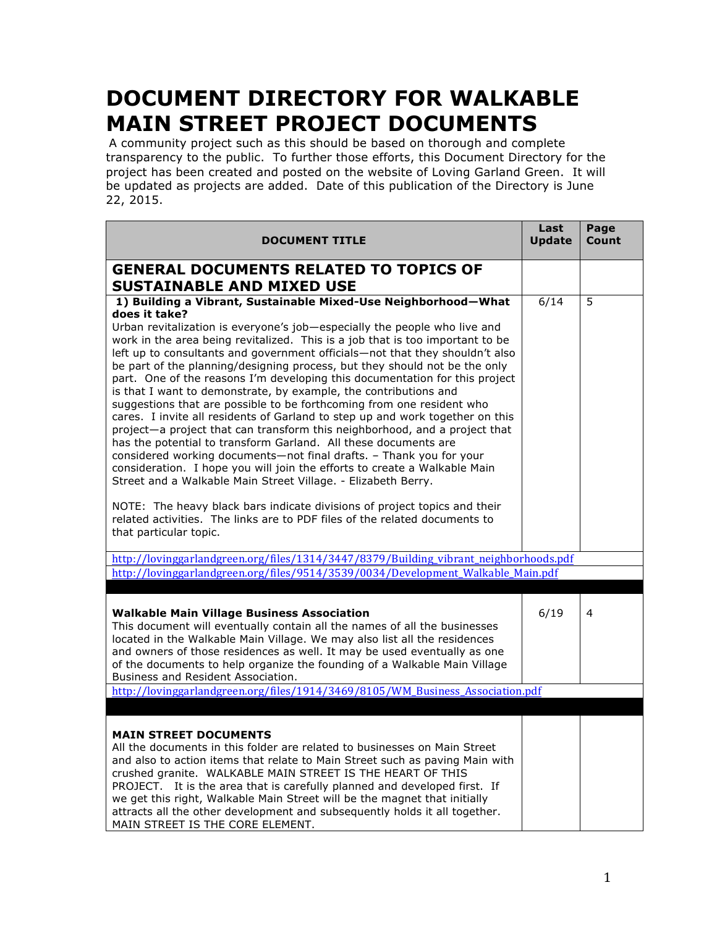## **DOCUMENT DIRECTORY FOR WALKABLE MAIN STREET PROJECT DOCUMENTS**

A community project such as this should be based on thorough and complete transparency to the public. To further those efforts, this Document Directory for the project has been created and posted on the website of Loving Garland Green. It will be updated as projects are added. Date of this publication of the Directory is June 22, 2015.

| <b>DOCUMENT TITLE</b>                                                                                                                                                                                                                                                                                                                                                                                                                                                                                                                                                                                                                                                                                                                                                                                                                                                                                                                                                                                                                                                                                                                                                                                                                                                               | Last<br><b>Update</b> | Page<br>Count |
|-------------------------------------------------------------------------------------------------------------------------------------------------------------------------------------------------------------------------------------------------------------------------------------------------------------------------------------------------------------------------------------------------------------------------------------------------------------------------------------------------------------------------------------------------------------------------------------------------------------------------------------------------------------------------------------------------------------------------------------------------------------------------------------------------------------------------------------------------------------------------------------------------------------------------------------------------------------------------------------------------------------------------------------------------------------------------------------------------------------------------------------------------------------------------------------------------------------------------------------------------------------------------------------|-----------------------|---------------|
| <b>GENERAL DOCUMENTS RELATED TO TOPICS OF</b>                                                                                                                                                                                                                                                                                                                                                                                                                                                                                                                                                                                                                                                                                                                                                                                                                                                                                                                                                                                                                                                                                                                                                                                                                                       |                       |               |
| <b>SUSTAINABLE AND MIXED USE</b>                                                                                                                                                                                                                                                                                                                                                                                                                                                                                                                                                                                                                                                                                                                                                                                                                                                                                                                                                                                                                                                                                                                                                                                                                                                    |                       |               |
| 1) Building a Vibrant, Sustainable Mixed-Use Neighborhood-What<br>does it take?<br>Urban revitalization is everyone's job-especially the people who live and<br>work in the area being revitalized. This is a job that is too important to be<br>left up to consultants and government officials-not that they shouldn't also<br>be part of the planning/designing process, but they should not be the only<br>part. One of the reasons I'm developing this documentation for this project<br>is that I want to demonstrate, by example, the contributions and<br>suggestions that are possible to be forthcoming from one resident who<br>cares. I invite all residents of Garland to step up and work together on this<br>project-a project that can transform this neighborhood, and a project that<br>has the potential to transform Garland. All these documents are<br>considered working documents-not final drafts. - Thank you for your<br>consideration. I hope you will join the efforts to create a Walkable Main<br>Street and a Walkable Main Street Village. - Elizabeth Berry.<br>NOTE: The heavy black bars indicate divisions of project topics and their<br>related activities. The links are to PDF files of the related documents to<br>that particular topic. | 6/14                  | 5             |
| http://lovinggarlandgreen.org/files/1314/3447/8379/Building_vibrant_neighborhoods.pdf                                                                                                                                                                                                                                                                                                                                                                                                                                                                                                                                                                                                                                                                                                                                                                                                                                                                                                                                                                                                                                                                                                                                                                                               |                       |               |
| http://lovinggarlandgreen.org/files/9514/3539/0034/Development_Walkable_Main.pdf                                                                                                                                                                                                                                                                                                                                                                                                                                                                                                                                                                                                                                                                                                                                                                                                                                                                                                                                                                                                                                                                                                                                                                                                    |                       |               |
| <b>Walkable Main Village Business Association</b><br>This document will eventually contain all the names of all the businesses<br>located in the Walkable Main Village. We may also list all the residences<br>and owners of those residences as well. It may be used eventually as one<br>of the documents to help organize the founding of a Walkable Main Village<br>Business and Resident Association.<br>http://lovinggarlandgreen.org/files/1914/3469/8105/WM_Business_Association.pdf                                                                                                                                                                                                                                                                                                                                                                                                                                                                                                                                                                                                                                                                                                                                                                                        | 6/19                  | 4             |
|                                                                                                                                                                                                                                                                                                                                                                                                                                                                                                                                                                                                                                                                                                                                                                                                                                                                                                                                                                                                                                                                                                                                                                                                                                                                                     |                       |               |
| <b>MAIN STREET DOCUMENTS</b><br>All the documents in this folder are related to businesses on Main Street<br>and also to action items that relate to Main Street such as paving Main with<br>crushed granite. WALKABLE MAIN STREET IS THE HEART OF THIS<br>PROJECT. It is the area that is carefully planned and developed first. If<br>we get this right, Walkable Main Street will be the magnet that initially<br>attracts all the other development and subsequently holds it all together.<br>MAIN STREET IS THE CORE ELEMENT.                                                                                                                                                                                                                                                                                                                                                                                                                                                                                                                                                                                                                                                                                                                                                 |                       |               |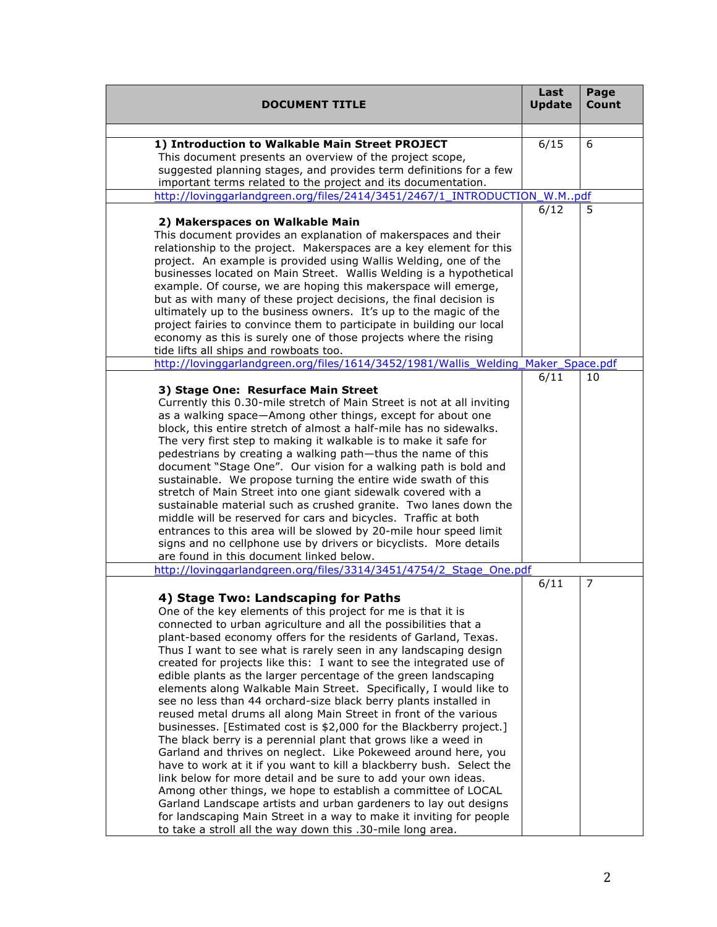| <b>DOCUMENT TITLE</b>                                                                                                                   | Last<br><b>Update</b> | Page<br>Count |
|-----------------------------------------------------------------------------------------------------------------------------------------|-----------------------|---------------|
|                                                                                                                                         |                       |               |
| 1) Introduction to Walkable Main Street PROJECT<br>This document presents an overview of the project scope,                             | 6/15                  | 6             |
| suggested planning stages, and provides term definitions for a few                                                                      |                       |               |
| important terms related to the project and its documentation.                                                                           |                       |               |
| http://lovinggarlandgreen.org/files/2414/3451/2467/1_INTRODUCTION_W.Mpdf                                                                |                       |               |
| 2) Makerspaces on Walkable Main                                                                                                         | 6/12                  | 5             |
| This document provides an explanation of makerspaces and their                                                                          |                       |               |
| relationship to the project. Makerspaces are a key element for this                                                                     |                       |               |
| project. An example is provided using Wallis Welding, one of the                                                                        |                       |               |
| businesses located on Main Street. Wallis Welding is a hypothetical                                                                     |                       |               |
| example. Of course, we are hoping this makerspace will emerge,                                                                          |                       |               |
| but as with many of these project decisions, the final decision is<br>ultimately up to the business owners. It's up to the magic of the |                       |               |
| project fairies to convince them to participate in building our local                                                                   |                       |               |
| economy as this is surely one of those projects where the rising                                                                        |                       |               |
| tide lifts all ships and rowboats too.                                                                                                  |                       |               |
| http://lovinggarlandgreen.org/files/1614/3452/1981/Wallis_Welding                                                                       | Maker_Space.pdf       |               |
|                                                                                                                                         | 6/11                  | 10            |
| 3) Stage One: Resurface Main Street<br>Currently this 0.30-mile stretch of Main Street is not at all inviting                           |                       |               |
| as a walking space-Among other things, except for about one                                                                             |                       |               |
| block, this entire stretch of almost a half-mile has no sidewalks.                                                                      |                       |               |
| The very first step to making it walkable is to make it safe for                                                                        |                       |               |
| pedestrians by creating a walking path-thus the name of this                                                                            |                       |               |
| document "Stage One". Our vision for a walking path is bold and                                                                         |                       |               |
| sustainable. We propose turning the entire wide swath of this<br>stretch of Main Street into one giant sidewalk covered with a          |                       |               |
| sustainable material such as crushed granite. Two lanes down the                                                                        |                       |               |
| middle will be reserved for cars and bicycles. Traffic at both                                                                          |                       |               |
| entrances to this area will be slowed by 20-mile hour speed limit                                                                       |                       |               |
| signs and no cellphone use by drivers or bicyclists. More details                                                                       |                       |               |
| are found in this document linked below.                                                                                                |                       |               |
| http://lovinggarlandgreen.org/files/3314/3451/4754/2_Stage_One.pdf                                                                      |                       | 7             |
| 4) Stage Two: Landscaping for Paths                                                                                                     | 6/11                  |               |
| One of the key elements of this project for me is that it is                                                                            |                       |               |
| connected to urban agriculture and all the possibilities that a                                                                         |                       |               |
| plant-based economy offers for the residents of Garland, Texas.                                                                         |                       |               |
| Thus I want to see what is rarely seen in any landscaping design                                                                        |                       |               |
| created for projects like this: I want to see the integrated use of                                                                     |                       |               |
| edible plants as the larger percentage of the green landscaping                                                                         |                       |               |
| elements along Walkable Main Street. Specifically, I would like to<br>see no less than 44 orchard-size black berry plants installed in  |                       |               |
| reused metal drums all along Main Street in front of the various                                                                        |                       |               |
| businesses. [Estimated cost is \$2,000 for the Blackberry project.]                                                                     |                       |               |
| The black berry is a perennial plant that grows like a weed in                                                                          |                       |               |
| Garland and thrives on neglect. Like Pokeweed around here, you                                                                          |                       |               |
| have to work at it if you want to kill a blackberry bush. Select the                                                                    |                       |               |
| link below for more detail and be sure to add your own ideas.                                                                           |                       |               |
| Among other things, we hope to establish a committee of LOCAL<br>Garland Landscape artists and urban gardeners to lay out designs       |                       |               |
| for landscaping Main Street in a way to make it inviting for people                                                                     |                       |               |
| to take a stroll all the way down this .30-mile long area.                                                                              |                       |               |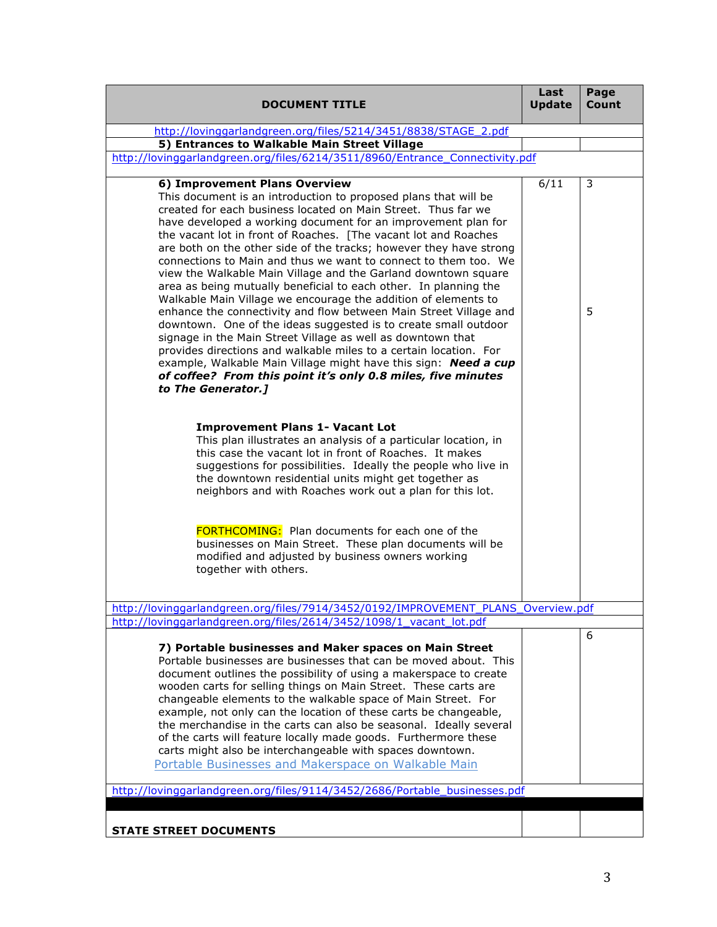| <b>DOCUMENT TITLE</b>                                                                                                                                                                                                                                                                                                                                                                                                                                                                                                                                                                                                                                                                                                                                                                                                                                                                                                                                                                                                                                                                       | Last<br><b>Update</b> | Page<br>Count |
|---------------------------------------------------------------------------------------------------------------------------------------------------------------------------------------------------------------------------------------------------------------------------------------------------------------------------------------------------------------------------------------------------------------------------------------------------------------------------------------------------------------------------------------------------------------------------------------------------------------------------------------------------------------------------------------------------------------------------------------------------------------------------------------------------------------------------------------------------------------------------------------------------------------------------------------------------------------------------------------------------------------------------------------------------------------------------------------------|-----------------------|---------------|
| http://lovinggarlandgreen.org/files/5214/3451/8838/STAGE_2.pdf                                                                                                                                                                                                                                                                                                                                                                                                                                                                                                                                                                                                                                                                                                                                                                                                                                                                                                                                                                                                                              |                       |               |
| 5) Entrances to Walkable Main Street Village                                                                                                                                                                                                                                                                                                                                                                                                                                                                                                                                                                                                                                                                                                                                                                                                                                                                                                                                                                                                                                                |                       |               |
| http://lovinggarlandgreen.org/files/6214/3511/8960/Entrance Connectivity.pdf                                                                                                                                                                                                                                                                                                                                                                                                                                                                                                                                                                                                                                                                                                                                                                                                                                                                                                                                                                                                                |                       |               |
| 6) Improvement Plans Overview<br>This document is an introduction to proposed plans that will be<br>created for each business located on Main Street. Thus far we<br>have developed a working document for an improvement plan for<br>the vacant lot in front of Roaches. [The vacant lot and Roaches<br>are both on the other side of the tracks; however they have strong<br>connections to Main and thus we want to connect to them too. We<br>view the Walkable Main Village and the Garland downtown square<br>area as being mutually beneficial to each other. In planning the<br>Walkable Main Village we encourage the addition of elements to<br>enhance the connectivity and flow between Main Street Village and<br>downtown. One of the ideas suggested is to create small outdoor<br>signage in the Main Street Village as well as downtown that<br>provides directions and walkable miles to a certain location. For<br>example, Walkable Main Village might have this sign: Need a cup<br>of coffee? From this point it's only 0.8 miles, five minutes<br>to The Generator.] | 6/11                  | 3<br>5        |
| <b>Improvement Plans 1- Vacant Lot</b><br>This plan illustrates an analysis of a particular location, in<br>this case the vacant lot in front of Roaches. It makes<br>suggestions for possibilities. Ideally the people who live in<br>the downtown residential units might get together as<br>neighbors and with Roaches work out a plan for this lot.                                                                                                                                                                                                                                                                                                                                                                                                                                                                                                                                                                                                                                                                                                                                     |                       |               |
| <b>FORTHCOMING:</b> Plan documents for each one of the<br>businesses on Main Street. These plan documents will be<br>modified and adjusted by business owners working<br>together with others.                                                                                                                                                                                                                                                                                                                                                                                                                                                                                                                                                                                                                                                                                                                                                                                                                                                                                              |                       |               |
| http://lovinggarlandgreen.org/files/7914/3452/0192/IMPROVEMENT_PLANS_Overview.pdf                                                                                                                                                                                                                                                                                                                                                                                                                                                                                                                                                                                                                                                                                                                                                                                                                                                                                                                                                                                                           |                       |               |
| http://lovinggarlandgreen.org/files/2614/3452/1098/1_vacant_lot.pdf                                                                                                                                                                                                                                                                                                                                                                                                                                                                                                                                                                                                                                                                                                                                                                                                                                                                                                                                                                                                                         |                       |               |
| 7) Portable businesses and Maker spaces on Main Street<br>Portable businesses are businesses that can be moved about. This<br>document outlines the possibility of using a makerspace to create<br>wooden carts for selling things on Main Street. These carts are<br>changeable elements to the walkable space of Main Street. For<br>example, not only can the location of these carts be changeable,<br>the merchandise in the carts can also be seasonal. Ideally several<br>of the carts will feature locally made goods. Furthermore these<br>carts might also be interchangeable with spaces downtown.<br>Portable Businesses and Makerspace on Walkable Main                                                                                                                                                                                                                                                                                                                                                                                                                        |                       | 6             |
| http://lovinggarlandgreen.org/files/9114/3452/2686/Portable_businesses.pdf                                                                                                                                                                                                                                                                                                                                                                                                                                                                                                                                                                                                                                                                                                                                                                                                                                                                                                                                                                                                                  |                       |               |
| <b>STATE STREET DOCUMENTS</b>                                                                                                                                                                                                                                                                                                                                                                                                                                                                                                                                                                                                                                                                                                                                                                                                                                                                                                                                                                                                                                                               |                       |               |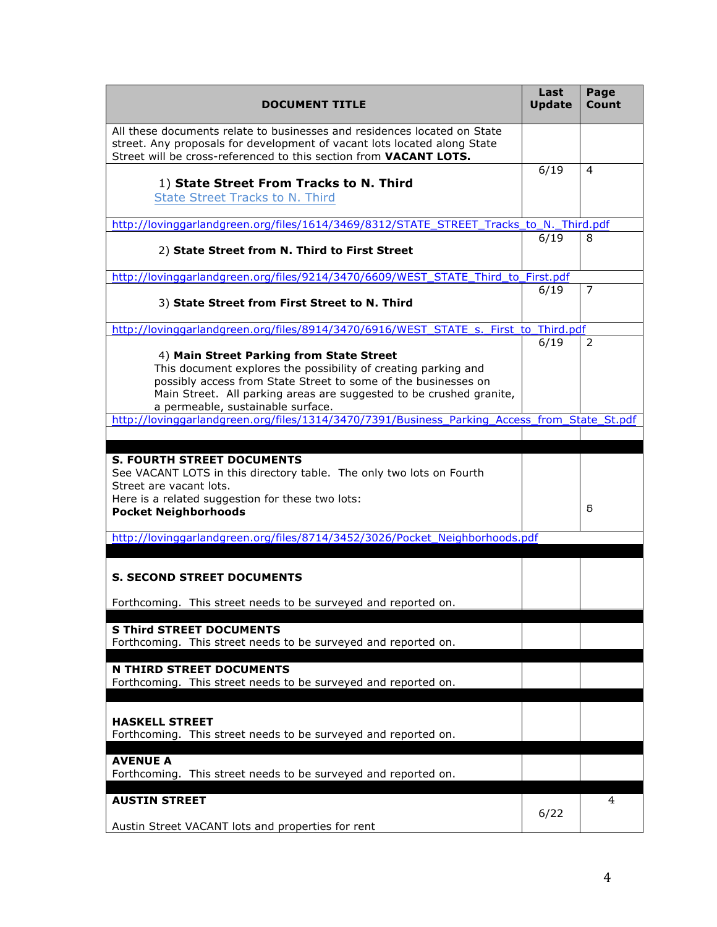| <b>DOCUMENT TITLE</b>                                                                                                                                                                                                                                                                    | Last<br><b>Update</b> | Page<br>Count  |
|------------------------------------------------------------------------------------------------------------------------------------------------------------------------------------------------------------------------------------------------------------------------------------------|-----------------------|----------------|
| All these documents relate to businesses and residences located on State<br>street. Any proposals for development of vacant lots located along State<br>Street will be cross-referenced to this section from VACANT LOTS.                                                                |                       |                |
| 1) State Street From Tracks to N. Third<br><b>State Street Tracks to N. Third</b>                                                                                                                                                                                                        | 6/19                  | 4              |
| http://lovinggarlandgreen.org/files/1614/3469/8312/STATE_STREET_Tracks_to_N._Third.pdf                                                                                                                                                                                                   |                       |                |
| 2) State Street from N. Third to First Street                                                                                                                                                                                                                                            | 6/19                  | 8              |
| http://lovinggarlandgreen.org/files/9214/3470/6609/WEST_STATE_Third_to_First.pdf                                                                                                                                                                                                         |                       |                |
| 3) State Street from First Street to N. Third                                                                                                                                                                                                                                            | 6/19                  | $\overline{7}$ |
| http://lovinggarlandgreen.org/files/8914/3470/6916/WEST_STATE_s._First_to_Third.pdf                                                                                                                                                                                                      |                       |                |
| 4) Main Street Parking from State Street<br>This document explores the possibility of creating parking and<br>possibly access from State Street to some of the businesses on<br>Main Street. All parking areas are suggested to be crushed granite,<br>a permeable, sustainable surface. | 6/19                  | 2              |
| http://lovinggarlandgreen.org/files/1314/3470/7391/Business_Parking_Access_from_State_St.pdf                                                                                                                                                                                             |                       |                |
| <b>S. FOURTH STREET DOCUMENTS</b><br>See VACANT LOTS in this directory table. The only two lots on Fourth<br>Street are vacant lots.<br>Here is a related suggestion for these two lots:<br><b>Pocket Neighborhoods</b>                                                                  |                       | 5              |
| http://lovinggarlandgreen.org/files/8714/3452/3026/Pocket_Neighborhoods.pdf                                                                                                                                                                                                              |                       |                |
| <b>S. SECOND STREET DOCUMENTS</b>                                                                                                                                                                                                                                                        |                       |                |
| Forthcoming. This street needs to be surveyed and reported on.                                                                                                                                                                                                                           |                       |                |
| <b>S Third STREET DOCUMENTS</b><br>Forthcoming. This street needs to be surveyed and reported on.                                                                                                                                                                                        |                       |                |
| <b>N THIRD STREET DOCUMENTS</b><br>Forthcoming. This street needs to be surveyed and reported on.                                                                                                                                                                                        |                       |                |
| <b>HASKELL STREET</b><br>Forthcoming. This street needs to be surveyed and reported on.                                                                                                                                                                                                  |                       |                |
| <b>AVENUE A</b><br>Forthcoming. This street needs to be surveyed and reported on.                                                                                                                                                                                                        |                       |                |
| <b>AUSTIN STREET</b>                                                                                                                                                                                                                                                                     | 6/22                  | 4              |
| Austin Street VACANT lots and properties for rent                                                                                                                                                                                                                                        |                       |                |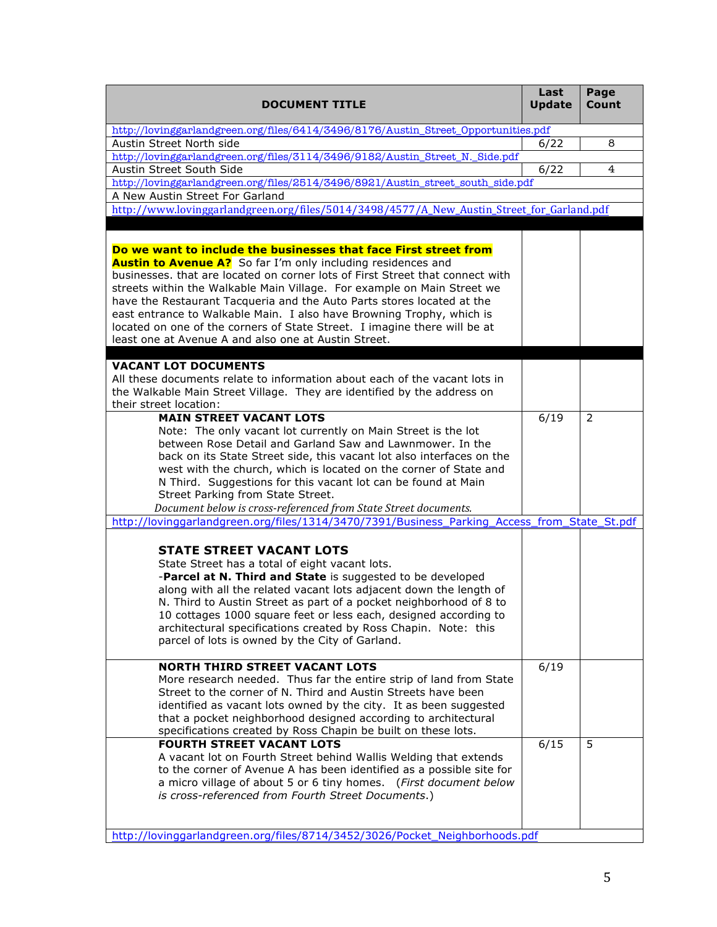| <b>DOCUMENT TITLE</b>                                                                                                                                                                                                                                                                                                                                                                                                                                                                                                                                                                       | Last<br><b>Update</b> | Page<br>Count |
|---------------------------------------------------------------------------------------------------------------------------------------------------------------------------------------------------------------------------------------------------------------------------------------------------------------------------------------------------------------------------------------------------------------------------------------------------------------------------------------------------------------------------------------------------------------------------------------------|-----------------------|---------------|
| http://lovinggarlandgreen.org/files/6414/3496/8176/Austin_Street_Opportunities.pdf                                                                                                                                                                                                                                                                                                                                                                                                                                                                                                          |                       |               |
| Austin Street North side                                                                                                                                                                                                                                                                                                                                                                                                                                                                                                                                                                    | 6/22                  | 8             |
| http://lovinggarlandgreen.org/files/3114/3496/9182/Austin_Street_N._Side.pdf                                                                                                                                                                                                                                                                                                                                                                                                                                                                                                                |                       |               |
| Austin Street South Side                                                                                                                                                                                                                                                                                                                                                                                                                                                                                                                                                                    | 6/22                  | 4             |
| http://lovinggarlandgreen.org/files/2514/3496/8921/Austin_street_south_side.pdf                                                                                                                                                                                                                                                                                                                                                                                                                                                                                                             |                       |               |
| A New Austin Street For Garland<br>http://www.lovinggarlandgreen.org/files/5014/3498/4577/A_New_Austin_Street_for_Garland.pdf                                                                                                                                                                                                                                                                                                                                                                                                                                                               |                       |               |
|                                                                                                                                                                                                                                                                                                                                                                                                                                                                                                                                                                                             |                       |               |
| Do we want to include the businesses that face First street from<br><b>Austin to Avenue A?</b> So far I'm only including residences and<br>businesses, that are located on corner lots of First Street that connect with<br>streets within the Walkable Main Village. For example on Main Street we<br>have the Restaurant Tacqueria and the Auto Parts stores located at the<br>east entrance to Walkable Main. I also have Browning Trophy, which is<br>located on one of the corners of State Street. I imagine there will be at<br>least one at Avenue A and also one at Austin Street. |                       |               |
|                                                                                                                                                                                                                                                                                                                                                                                                                                                                                                                                                                                             |                       |               |
| <b>VACANT LOT DOCUMENTS</b><br>All these documents relate to information about each of the vacant lots in<br>the Walkable Main Street Village. They are identified by the address on<br>their street location:                                                                                                                                                                                                                                                                                                                                                                              |                       |               |
| <b>MAIN STREET VACANT LOTS</b>                                                                                                                                                                                                                                                                                                                                                                                                                                                                                                                                                              | 6/19                  | 2             |
| Note: The only vacant lot currently on Main Street is the lot<br>between Rose Detail and Garland Saw and Lawnmower. In the<br>back on its State Street side, this vacant lot also interfaces on the<br>west with the church, which is located on the corner of State and<br>N Third. Suggestions for this vacant lot can be found at Main<br>Street Parking from State Street.<br>Document below is cross-referenced from State Street documents.                                                                                                                                           |                       |               |
| http://lovinggarlandgreen.org/files/1314/3470/7391/Business_Parking_Access_from_State_St.pdf                                                                                                                                                                                                                                                                                                                                                                                                                                                                                                |                       |               |
| <b>STATE STREET VACANT LOTS</b><br>State Street has a total of eight vacant lots.<br>-Parcel at N. Third and State is suggested to be developed<br>along with all the related vacant lots adjacent down the length of<br>N. Third to Austin Street as part of a pocket neighborhood of 8 to<br>10 cottages 1000 square feet or less each, designed according to<br>architectural specifications created by Ross Chapin. Note: this<br>parcel of lots is owned by the City of Garland.                                                                                                       |                       |               |
| <b>NORTH THIRD STREET VACANT LOTS</b><br>More research needed. Thus far the entire strip of land from State<br>Street to the corner of N. Third and Austin Streets have been<br>identified as vacant lots owned by the city. It as been suggested<br>that a pocket neighborhood designed according to architectural<br>specifications created by Ross Chapin be built on these lots.                                                                                                                                                                                                        | 6/19                  |               |
| <b>FOURTH STREET VACANT LOTS</b><br>A vacant lot on Fourth Street behind Wallis Welding that extends<br>to the corner of Avenue A has been identified as a possible site for<br>a micro village of about 5 or 6 tiny homes. (First document below<br>is cross-referenced from Fourth Street Documents.)                                                                                                                                                                                                                                                                                     | 6/15                  | 5             |
| http://lovinggarlandgreen.org/files/8714/3452/3026/Pocket_Neighborhoods.pdf                                                                                                                                                                                                                                                                                                                                                                                                                                                                                                                 |                       |               |